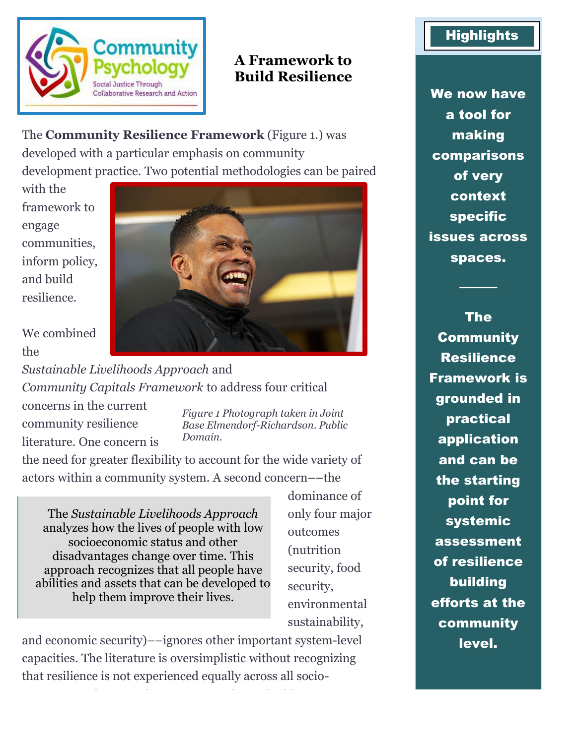

# **A Framework to Build Resilience**

The **Community Resilience Framework** (Figure 1.) was developed with a particular emphasis on community development practice. Two potential methodologies can be paired

with the framework to engage communities, inform policy, and build resilience.



We combined the

*Sustainable Livelihoods Approach* and *Community Capitals Framework* to address four critical

concerns in the current community resilience literature. One concern is

*Figure 1 Photograph taken in Joint Base Elmendorf-Richardson. Public Domain.*

the need for greater flexibility to account for the wide variety of actors within a community system. A second concern––the

The *Sustainable Livelihoods Approach* analyzes how the lives of people with low socioeconomic status and other disadvantages change over time. This approach recognizes that all people have abilities and assets that can be developed to help them improve their lives.

dominance of only four major outcomes (nutrition security, food security, environmental sustainability,

and economic security)––ignores other important system-level capacities. The literature is oversimplistic without recognizing that resilience is not experienced equally across all socio-

economic or demographic groups. Resilience building,

# **Highlights**

We now have a tool for making comparisons of very context specific issues across spaces.

────

The **Community** Resilience Framework is grounded in practical application and can be the starting point for systemic assessment of resilience building efforts at the community level.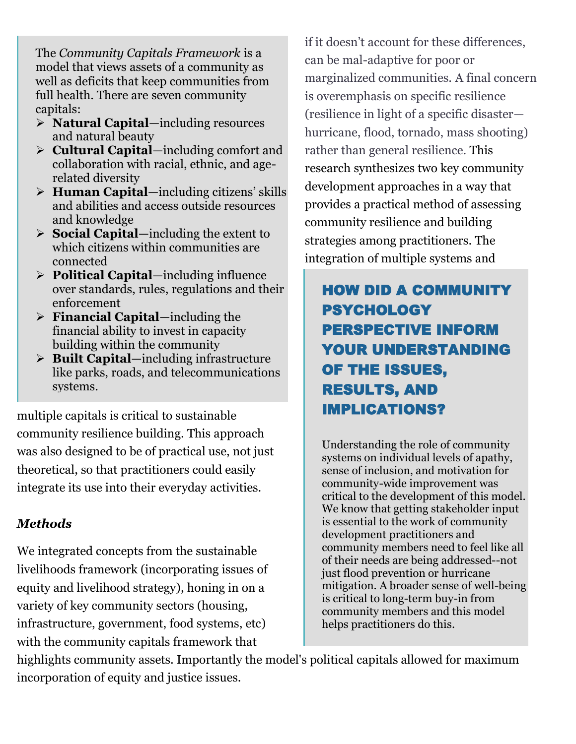The *Community Capitals Framework* is a model that views assets of a community as well as deficits that keep communities from full health. There are seven community capitals:

- ➢ **Natural Capital**—including resources and natural beauty
- ➢ **Cultural Capital**—including comfort and collaboration with racial, ethnic, and agerelated diversity
- ➢ **Human Capital**—including citizens' skills and abilities and access outside resources and knowledge
- ➢ **Social Capital**—including the extent to which citizens within communities are connected
- ➢ **Political Capital**—including influence over standards, rules, regulations and their enforcement
- ➢ **Financial Capital**—including the financial ability to invest in capacity building within the community
- ➢ **Built Capital**—including infrastructure like parks, roads, and telecommunications systems.

multiple capitals is critical to sustainable community resilience building. This approach was also designed to be of practical use, not just theoretical, so that practitioners could easily integrate its use into their everyday activities.

# *Methods*

We integrated concepts from the sustainable livelihoods framework (incorporating issues of equity and livelihood strategy), honing in on a variety of key community sectors (housing, infrastructure, government, food systems, etc) with the community capitals framework that

if it doesn't account for these differences, can be mal-adaptive for poor or marginalized communities. A final concern is overemphasis on specific resilience (resilience in light of a specific disaster hurricane, flood, tornado, mass shooting) rather than general resilience. This research synthesizes two key community development approaches in a way that provides a practical method of assessing community resilience and building strategies among practitioners. The integration of multiple systems and

# HOW DID A COMMUNITY PSYCHOLOGY PERSPECTIVE INFORM YOUR UNDERSTANDING OF THE ISSUES, RESULTS, AND IMPLICATIONS?

Understanding the role of community systems on individual levels of apathy, sense of inclusion, and motivation for community-wide improvement was critical to the development of this model. We know that getting stakeholder input is essential to the work of community development practitioners and community members need to feel like all of their needs are being addressed--not just flood prevention or hurricane mitigation. A broader sense of well-being is critical to long-term buy-in from community members and this model helps practitioners do this.

highlights community assets. Importantly the model's political capitals allowed for maximum incorporation of equity and justice issues.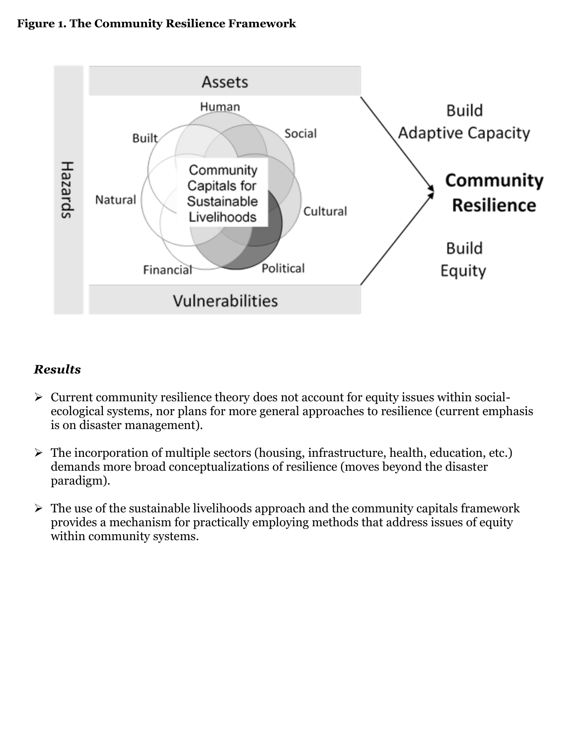### **Figure 1. The Community Resilience Framework**



## *Results*

- ➢ Current community resilience theory does not account for equity issues within socialecological systems, nor plans for more general approaches to resilience (current emphasis is on disaster management).
- ➢ The incorporation of multiple sectors (housing, infrastructure, health, education, etc.) demands more broad conceptualizations of resilience (moves beyond the disaster paradigm).
- $\triangleright$  The use of the sustainable livelihoods approach and the community capitals framework provides a mechanism for practically employing methods that address issues of equity within community systems.